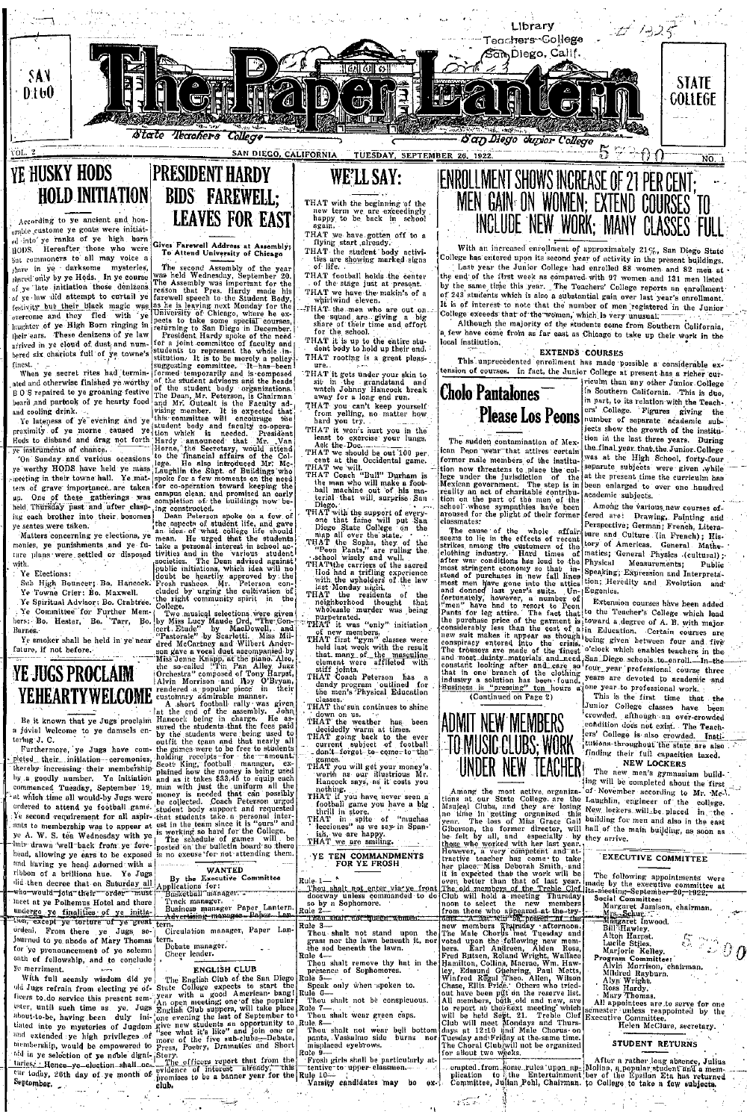

## **HOLD INITIATION BIDS FAREWELL: LEAVES FOR EAST** According to ye ancient and hon orable custome ye goats were initiated into ye ranks of ye high born

HODS.

Hereafter those who were

Gives Farewell Address at Assembly;<br>To Attend University of Chicago

rel into yo ranks of ye high hom (Circle Farewell Address at Assembly);<br>
introperanter those who were Circle Farewell Address at Assembly;<br>
introduced the New Circle Correlator (Fig. 2)<br>
interfering the State of All may v but commoners to all may voice a

Since The Town Crier: Bo. Maxwell.<br>
Ye Towne Crier: Bo. Maxwell.<br>
Ye Spiritual Advisor: Bo. Crabtree.<br>
Ye Committee for Further Memers: Bo. Hester, Bo. Tarr, Bo.

Ye Town Crient Bo. Maxwell, cluded by urging the culturation of<br> $\sim$  18 CR and the state of the state of the state of the state in the state of Fig. (26 contribute for Further Men. [26]<br>State is the state of the state of

WANTED<br>By the Executive Committee<br>Applications for:<br>Basketball manager.

and having ye head adorned with a ribbon of a brilliona hue. Ye Jugs

did then decree that on Saturday all who—would—join—their order must

ordenl. From there ye Jugs so-

for ye pronouncement of ye solemn

Thin<sup>1</sup>

ye merriment.

- meet at ye Polhemus Hotel and there Track manager.<br>Business manager Paper Lantern dergo ye finalities of ye initia-<br><sup>13</sup>, except ye torture of ye great
	- <del>| Advertising manages Papes Lan.</del><br>| tern<br>| Circulation manager, Paper Lan-
- ordeni. From there ye Jugo or lower.<br>Journed to ye abode of Mary Thomas tern. Debate manager.
	- Cheer leader

## **ENGLISH CLUB**

We merriment,<br>
which ages and identify the Republic LUB and the Sam Diego Reflects of Supplements.<br>
With fall ages in the sam Diego Reflects to the Sam Diego Reflects to do service this possible due to the special to the

## WE'LL SAY:

THAT with the beginning of the new term we are exceedingly happy to be back in school again.

THAT we have gotten off to a flying start already. THAT the student body activities are showing marked signs of life.

THAT football holds the center<br>of the stage just at present. THAT we have the makin's of a<br>whirlwind eleven.

"with the men who are out on<br>the squad are giving a big<br>share of their time and effort<br>for the school.

THAT it is up to the entire stu-<br>dent body to hold up their end. THAT rooting is a great pleas-

ten

- 
- 
- 

- That Football is a great pease of the state of the state of the state of the state of the state of the state of the state of the state of the state of the state of the state of the peak of the boost of the state of the sta
- 
- 
- terial that will, surprise Sampler<br>
Pieck Technology and the surprise of the surprise of the surprise of<br>
Diego. State College on the Sample of the surprise of<br>
Diego. State College on the Sampler<br>
TRAT the Sampler of the
- THAT the residents of the law<br>
THAT the residents of the<br>
 neighborhood thought that<br>
 meighborhood thought that<br>
 wholesale murder was being<br>
THAT it was  $\cdots$
- whose margin and the property in the property of the property of the property of the property of the best diff both the property of the property of the property of the property of the matgrading diff both and property of t
- 
- classes.<br>THAT the sun continues to shine
- 
- That the same continues to smile<br>TAT the weather has been<br>decidedly warm at times.<br>THAT going back to the ever<br>contract subject of football<br>contract space of football
- games.<br>THAT you will get your money's<br>worth as our illustrious Mr.<br>Hancock says, as it costs you
- 
- 
- 
- Thou shalt not enter via ye from<br>doorway unless commanded to do<br>no by a Sophomore.<br>Rule 2
- i'nau skatr not queen shan  $\begin{tabular}{|c|c|} \hline \textbf{FWHM} & \textbf{Mott-Tuckau}, \textbf{a} & \textbf{a} & \textbf{a} & \textbf{b} \\ \hline \textbf{Ruk} & 3--\textbf{Rau} & \textbf{Muk} & \textbf{not} & \textbf{and} & \textbf{up} \\ \textbf{Rv} & \textbf{r} & \textbf{no} & \textbf{the law} & \textbf{hand} & \textbf{in}, \textbf{not} \\ \textbf{Ru} & \textbf{0} & \textbf{on} & \textbf{on} & \textbf{in} & \textbf{in} \\ \textbf{Ru} & \textbf{0}$ 
	-
	-
	-
- Rule 6-<br>Thou shalt not be conspicuous.<br>Rule 7-
- 
- Thou shalt wear green caps.<br>
The B-<br>
Thou shalt not wear bell bottom<br>
pants, Nasslano side burns not<br>
misplaced eyebrows,<br>
Rue B-<br>
Thou shall be particularly at<br>
tention to upper classmen.<br>
The Letter of the particularly a

# **ENROLLMENT SHOWS INCREASE OF 21 PER CENT:** WEN GAIN ON WOMEN, EXTEND COURSES TO

With an increased enrollment of approximately 21%, San Diego ege has entered upon its second year of activity in the present buildings. Last year the Junior College had enrolled 88 women and 82 men at end of the first week as compared with 97 women and 131 men listed by the same time this year. The Teachers' College reports an enrollment of 243 students which is also a substantial gain over last year's enrollment. It is of interest to note that the number of men registered in the Junior

ege exceeds that of the women, which is very unusual. Although the majority of the students come from Southern California, a few have come from as far east as Chicago to take up their work in the **Coral institution** 

**EXTENDS COURSES** 

This unprecedented enrollment has made possible a considerable exsion of courses. In fact, the Junior College at present has a richer cur-

**Cholo Pantalones** 

The sudden contamination of Mexican Peon wear that attires certain former male members of the institufuture mass members of the matture<br>tion now threatens to piece the college under the jurisdiction of the<br>Mexican government. The step is in the<br>reality an act of charitable contribu-<br>reality an act of charitable contribu-<br> arous<br>classi ason 10<br>ssmates:

aroused for the plight of their former [feral are in Parting, Palting, and Claims and Claims and Claims and Claims and Claims and Claims and Claims and Claims and Claims and Claims and Claims and Claims and Claims and Cla

(Continued on Page 2)

ADMIT NEW MEMBERS -TO MUSIC CLUBS; WORK UNDER NEW TEACHER

UINUER REW LEAUITER (Fig. 1) along the most detive, organization is our State Goldspace are the Lating State of the most detection in the last of Miss Goldspace and but the felt by all and especially the state of the stat

priculm than any other Junior College in Southern California. This is due, in part, to its relation with the Teach Please Los Peons pers' College. Figures agriculture reach-<br>letter show the growth of the institution in the last three years. During the final year that the Junior College was at the High School, forty-four

separate subjects were given while at the present time the curriculm has been enlarged to over one hundred academic subjects.

Among the various new courses of-<br>fered are: Drawing, Painting and<br>Perspective; German; French, Litera-

This is the first time that the Junior College classes have been<br>erowded, although an over-crowded condition does not exist. The Teachtutions throughout the state are finding their full capacities taxed.<br>NEW LOCKERS

The new men's gymnasium building will be completed about the first of November according to Mr. Mc-Laughlin, engineer of the college. building for men and also in the east hall of the main building, as soon as they arrive.

**EXECUTIVE COMMITTEE** 

Executive Committee<br>
The following appointments were months and the securities of the exercitive committee at<br>
Has securities committee at<br>
Has securities and the securities of the securities<br>  $\frac{M_{\rm IR}}{M_{\rm BH}}$  (Has secur

- 
- 
- 
- -
	-
	-
	-

## STUDENT RETURNS

We also the property of the property of the property of the property pulsing plication to a help property of the property of the property property of the property of the property of the property of the property of the prop

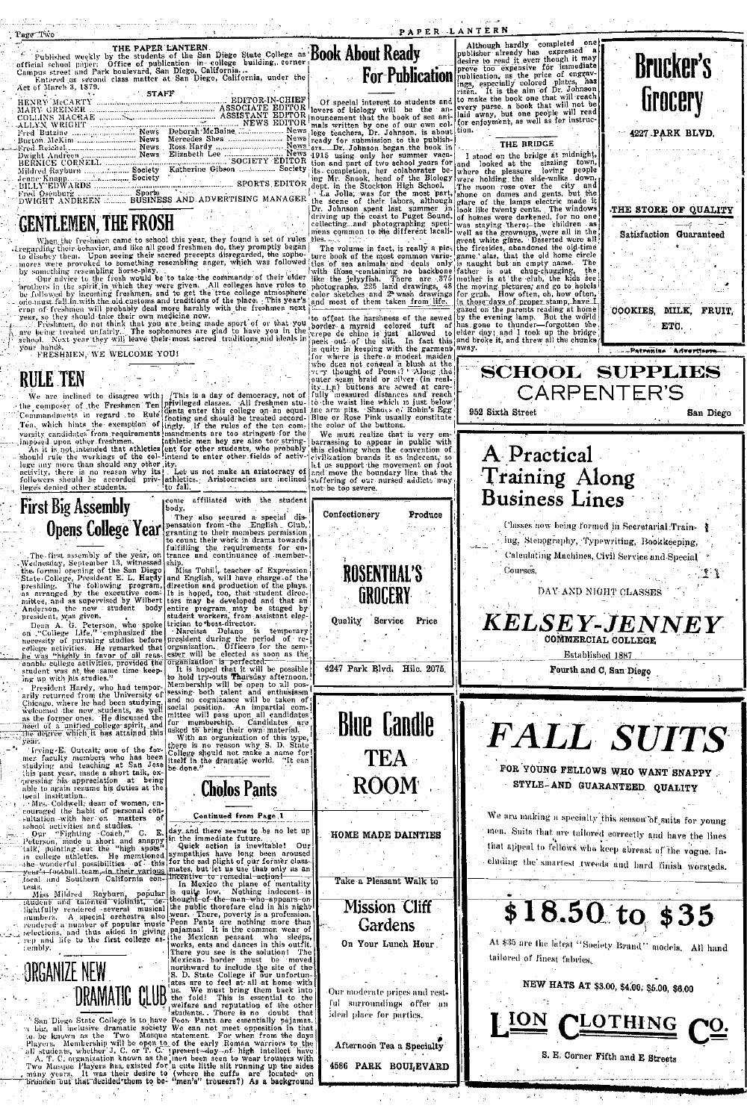| aa Taro |  |
|---------|--|

| APER LANTERI |  |  |  |  |
|--------------|--|--|--|--|

... n. . . . . .

| Published weekly by the students of the San Diego State College as DOUK RUULL NEGUY                                                                                                                                            | ipppiisher uirea |
|--------------------------------------------------------------------------------------------------------------------------------------------------------------------------------------------------------------------------------|------------------|
| official school paper: Office of publication in college building, corner:                                                                                                                                                      | desire to read   |
| For-Publication publication, as<br>Campus street and Park boulevard, San Diego, California                                                                                                                                     |                  |
| Entered as second class matter at San Diego, California, under the                                                                                                                                                             |                  |
| Act of March 3, 1879.                                                                                                                                                                                                          | ings, especially |
| <b>STAFF</b>                                                                                                                                                                                                                   | risen. It is th  |
| Of special interest to students and to make the bo<br>HENRY McCARTY Management Communication EDITOR-IN-CHIEF                                                                                                                   |                  |
|                                                                                                                                                                                                                                |                  |
|                                                                                                                                                                                                                                |                  |
| mals written by one of our own col- for enjoyment,                                                                                                                                                                             |                  |
|                                                                                                                                                                                                                                |                  |
|                                                                                                                                                                                                                                |                  |
| Repeal Roichel, 1988. Early Ross Hardy More Price News Press, Dr. Johnson began the book in Figure 1. 1988. The Book of the Book of the Book of the Book of the Book of the Book of the Book of the Book of the Book of the Bo |                  |
|                                                                                                                                                                                                                                |                  |
| Dwight Andreen  News Elizabeth Lee  News 1915 using only her summer vaca-                                                                                                                                                      | I stood on t     |
| BERNICE CORNELL <b>CORNELL</b> CORNELL CORNEL SOCIETY EDITOR tion and part of two school years for and Clocked a                                                                                                               |                  |
| Mildred Rayburn  Society Katherine Gibson  Society its completion, her colaborater be- where the ple                                                                                                                           |                  |
| Jenne Knapp Society                                                                                                                                                                                                            |                  |
|                                                                                                                                                                                                                                |                  |
| Fred Osenburg, the was for the most part show on dame.<br>La Jolla, was for the most part, shone on dame                                                                                                                       |                  |
|                                                                                                                                                                                                                                |                  |

THE PAPER LANTERN.

## **GENTLEMEN, THE FROSH**

**UERVICENTS THE TROOTI**<br>
TERMONITY TRESPACE TO USE the constraints were considered to the property of the constraints their behavior, and like all good freshmen do, they promptly began to disolow them. Upon seeing their s

your hands.<br>FRESHMEN, WE WELCOME YOU!

RULE TEN

**IVOLE:** 1 L11<br>
The certification disagree with  $f$  This is a day of democracy, not of<br>
The certification of the composer of the Freshmen Ten eligible denses . All results<br>
Commandinative in ergand to the signal conductio

and most of them taken from life-<br>to offset the haracteristic loop and most of the haracteristic looped turn of<br>porter- a myrnic colored turn of  $\alpha$ <br>(where the most of the signal of the state in the state of the state of eventuation branus it as indecent, so<br>and move the boundary line that the<br>suffering of our nursed addicts may<br>not be too severe.

Produce

Confectionery

**First Big Assembly** Opens College Year

The first assembly of the year, on the search of the formula operator of the Commission State College, precision is the control of the same property and a supervised by withe and a supervised by wither and a supervised by

ing up with his studes."<br>
Tresident Hardy, who had tempor-<br>
Tresident Hardy, who had tempor-<br>
raily returned from the University of<br>
Chicago, where he had been students, as yell<br>
welcomed the new students, as yell<br>
as the

The degree which it has attained this<br>
"year."<br>
"year, "year" (with the strength of the formulation of the first<br>
"year" and teaching at Sam Joseph and the strength in a physical<br>
dispute the application at being the degr



come affiliated with the student poor,<br>
They also secured a special dis-<br>
pensation from the English Club,<br>
granting to their members permission<br>
to count their work in drama towards<br>
fulfilling the requirements for en-<br>
trance and continuance of member-<br>

to continue the wave in the continue of the main continue of the state of the state of the line in the base of the line is a peed, too, that student direct in the state of the state of the state of the state of the state o

**Cholos Pants** 

Continued from Page 1

contract the habita of personal consideration in the personal contribution of the state of the state of the state of the state of the state of the state of the state of the state of the state of the state of the state of

completed one Although hardly  $\frac{1}{2}$  can be a separated one of the series of a separated and position of the price of energy of the price of energy of  $\frac{1}{2}$  is the price of energy of  $\frac{1}{2}$  is the series of  $\frac{1}{2}$  is the book that will re

THE BRIDGE<br>
11. THE BRIDGE<br>
11. THE BRIDGE<br>
11. THE BRIDGE<br>
11. The complete of the production of the string end of the string control of the string of the string parts. Needle to the Biology were holding the side-walks d

952 Sixth Street

| too expensive for immediate<br>ation, as the price of engrav-<br>especially colored plates, has<br>It is the aim of Dr. Johnson<br>ce the book one that will reach<br>purse, a book that will not be<br>way, but one people will read<br>joyment, as well as for instruc-<br>THE BRIDGE<br>ood on the bridge at midnight,<br>town,<br>sizzling<br>looked at the<br>people<br>loving<br>the pleasure<br>holding the side-walks down.                                                                                                                                                                                                                                                                                       | DLAPUL 9<br><b>Lirocery</b><br>4227 PARK BLVD.                                                                                    |
|---------------------------------------------------------------------------------------------------------------------------------------------------------------------------------------------------------------------------------------------------------------------------------------------------------------------------------------------------------------------------------------------------------------------------------------------------------------------------------------------------------------------------------------------------------------------------------------------------------------------------------------------------------------------------------------------------------------------------|-----------------------------------------------------------------------------------------------------------------------------------|
| city<br>and<br>ioon rose over the<br>on dames and gents, but the<br>of the lamps electric made it<br>ke twenty cents. The windows<br>nes were darkened, for πο one<br>aying there; the children as<br>s the grownups, were all in the<br>white glare. Deserted were all<br>esides, abandoned the old-time<br>alas, that the old home circle<br>The<br>ght but an empty name.<br>the<br>is out chug-chugging,<br>is at the club, the kids see<br>ving pictures, and go to hobels<br>ab. How often, oh, how often,<br>e days of proper stamp, have I<br>on the parents reading at home<br>evening lamp. But the world<br>ne to thunder-forgotten the,<br>day: and I took up the bridge.<br>oke it, and threw all the chunks | THE STORE OF QUALITY<br>- 4<br>Satisfaction Guaranteed<br>MILK. FRUIT<br>COOKIES.<br>ETC.<br>. Patranisa <sup>-</sup> Advertisers |
| <b>SCHOOL SUPPLIES</b><br>CARPENTER'S<br>2 Sixth Street                                                                                                                                                                                                                                                                                                                                                                                                                                                                                                                                                                                                                                                                   | San Diego                                                                                                                         |
| A Practical<br>Training Along<br><b>Business Lines</b>                                                                                                                                                                                                                                                                                                                                                                                                                                                                                                                                                                                                                                                                    | Classes now being formed in Secretarial Train-                                                                                    |

 $D_{\text{m}}$ alzon<sup>j</sup>o



DAY AND NIGHT CLASSES

KELSEY-JENNEY COMMERCIAL COLLEGE Established 1887

Fourth and C, San Diego

**FALL SUITS** FOR YOUNG FELLOWS WHO WANT SNAPPY

STYLE-AND GUARANTEED QUALITY

We are making a specialty this season of suits for young men. Suits that are tailored correctly and have the lines that appeal to fellows who keep abreast of the vogue. Including the smartest tweeds and hard finish worsteds.



NEW HATS AT \$3.00, \$4.00, \$5.00, \$6.00



S. E. Corner Fifth and E Streets

**ROSENTHAL'S** GROCERY Quality Service Price



**ROOM** 

HOME MADE DAINTIES

Take a Pleasant Walk to

**Mission Cliff** Gardens On Your Lunch Hour.

Our moderate prices and restful surroundings offer an ideal place for parties.

Afternoon Tea a Specialty 4586 PARK BOULEVARD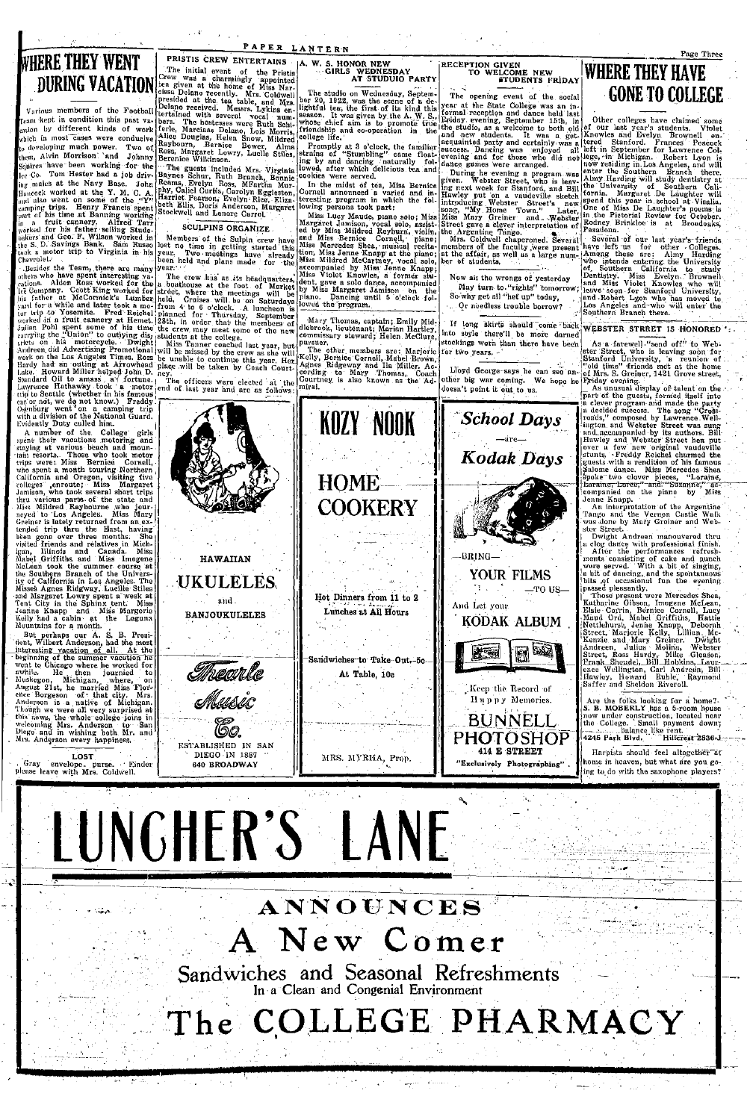## WHERE THEY WENT DURING VACATION

Various members of the Football condition this past vaeam kept in ion by different kinds of work chich in most cases were conducive in developing much power. Two of<br>them, Alvin Morrison and Johnny<br>Squires have been working for the Tom Hester had a job driv- $\begin{bmatrix}\n\text{ce} & \text{Cov} & \text{Tom} & \text{Heske} \\
\text{Re} & \text{Com} & \text{Heske} & \text{Heske}\n\end{bmatrix}$  aigureachd at the Navy Base. John<br>increase worked at the Navy Base. John<br>increase work on some of the  $\gamma_{\text{V}}^{(1)}$ <br>canning trips. Henry Francis apen

Gray envelope, purse. E.

Einder

PRISTIS CREW ENVERTAINS<br>THE TREE TO Creating the Triation of the Principal Creating and a charmingly the Principal<br>Les given at the home of Mighelice Creating Dislocation<br>presided at the tea table, and Mighelice Presided a

PRISTIS CREW ENTERTAINS

PAPER LANTERN

Serence wilkinson, The guess included Mrs. Virginia<br>
Paynes Schur, Ruth Branch, Bonnie<br>
Raynes Schur, Ruth Branch, Bonnie<br>
Reams, Evelyn Ross, MFartha Mur-<br>
Harriet Pearson, Evelyn Riggleston,<br>
Harriet Pearson, Evelyn Rieg

**SCULPINS ORGANIZE** 

Members of the Sulpin crew have<br>lost no time in getting started this<br>year. Two meetings have already<br>been held and plans made for the

A. W. S. HONOR NEW GIRLS WEDNESDAY AT STUDUIO PARTY

RECEPTION GIVEN LCOME NEW<br>STUDENTS FRIDAY

If long skirts should come back into style there'll be more darned stockings worn than there have been

**School Days** 

Kodak Days

YOUR FILMS

KODAK ALBUM

Keep the Record of

Нирру Memories. BUNNELL **PHOTOSHOP** 414 E STREET

"Exclusively Photographing"

-TO US-

bø

**WHERE THEY HAVE** 

**CORES WEBBAY TO WELGEN TO WELGEN TO WELGEN TO WELGEN TO COLLEGE The trait of the social like that is a second to the social control of the social like the social control of the social control of the social like the socia** 

WEBSTER STRRET IS HONORED

WEBSTER STREET IS HONORED (Manufacture of the state street who is between the state of the state of the state of the state of the state of the state of the state of the state of the state of the state of the state of the

Are the folks looking for a home?<br>S. B. MOBERLY has a 5-room house<br>now under construction, located near<br>the College. Small payment down;<br> $\frac{1}{2}$  and  $\frac{1}{2}$  bullines like real.

Harnists should feel altogether are home in heaven, but what are you going to do with the saxophone players?

# LUNGHER'S LANE

640 RROADWAY

# ANNOUNCES A New Comer

MRS. MYRHA, Prop.

Sandwiches and Seasonal Refreshments In a Clean and Congenial Environment

The COLLEGE PHARMACY



BRING-

And Let your

文章

Lloyd George-says he can see an-<br>other big war coming. We hope he<br>doesn't point it out to us.



Page Three